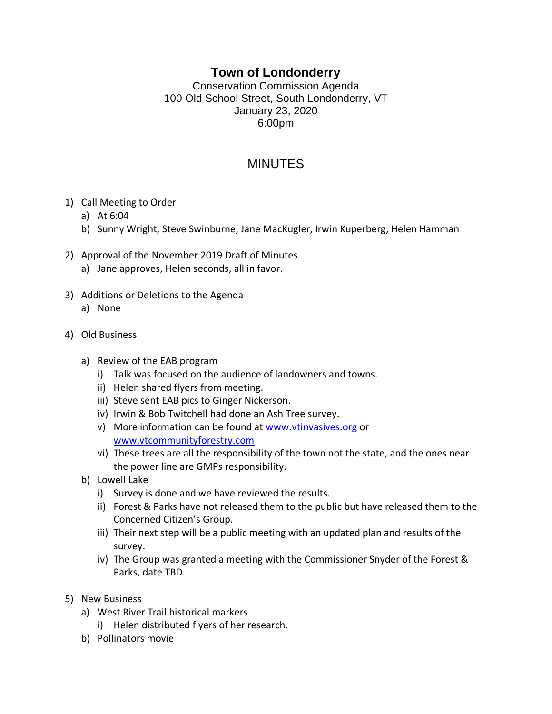## **Town of Londonderry**

Conservation Commission Agenda 100 Old School Street, South Londonderry, VT January 23, 2020 6:00pm

## MINUTES

- 1) Call Meeting to Order
	- a) At 6:04
	- b) Sunny Wright, Steve Swinburne, Jane MacKugler, Irwin Kuperberg, Helen Hamman
- 2) Approval of the November 2019 Draft of Minutes
	- a) Jane approves, Helen seconds, all in favor.
- 3) Additions or Deletions to the Agenda
	- a) None
- 4) Old Business
	- a) Review of the EAB program
		- i) Talk was focused on the audience of landowners and towns.
		- ii) Helen shared flyers from meeting.
		- iii) Steve sent EAB pics to Ginger Nickerson.
		- iv) Irwin & Bob Twitchell had done an Ash Tree survey.
		- v) More information can be found at [www.vtinvasives.org](http://www.vtinvasives.org/) or [www.vtcommunityforestry.com](http://www.vtcommunityforestry.com/)
		- vi) These trees are all the responsibility of the town not the state, and the ones near the power line are GMPs responsibility.
	- b) Lowell Lake
		- i) Survey is done and we have reviewed the results.
		- ii) Forest & Parks have not released them to the public but have released them to the Concerned Citizen's Group.
		- iii) Their next step will be a public meeting with an updated plan and results of the survey.
		- iv) The Group was granted a meeting with the Commissioner Snyder of the Forest & Parks, date TBD.
- 5) New Business
	- a) West River Trail historical markers
		- i) Helen distributed flyers of her research.
	- b) Pollinators movie